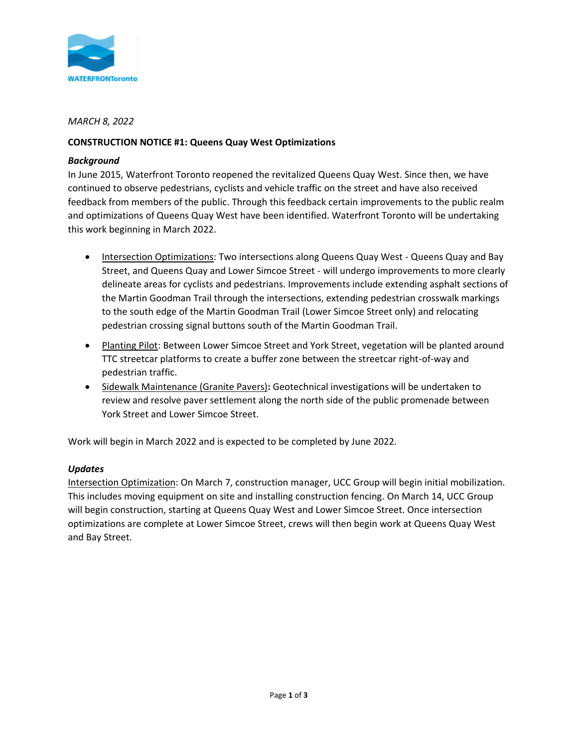

## *MARCH 8, 2022*

# **CONSTRUCTION NOTICE #1: Queens Quay West Optimizations**

## *Background*

In June 2015, Waterfront Toronto reopened the revitalized Queens Quay West. Since then, we have continued to observe pedestrians, cyclists and vehicle traffic on the street and have also received feedback from members of the public. Through this feedback certain improvements to the public realm and optimizations of Queens Quay West have been identified. Waterfront Toronto will be undertaking this work beginning in March 2022.

- Intersection Optimizations: Two intersections along Queens Quay West Queens Quay and Bay Street, and Queens Quay and Lower Simcoe Street - will undergo improvements to more clearly delineate areas for cyclists and pedestrians. Improvements include extending asphalt sections of the Martin Goodman Trail through the intersections, extending pedestrian crosswalk markings to the south edge of the Martin Goodman Trail (Lower Simcoe Street only) and relocating pedestrian crossing signal buttons south of the Martin Goodman Trail.
- Planting Pilot: Between Lower Simcoe Street and York Street, vegetation will be planted around TTC streetcar platforms to create a buffer zone between the streetcar right-of-way and pedestrian traffic.
- Sidewalk Maintenance (Granite Pavers)**:** Geotechnical investigations will be undertaken to review and resolve paver settlement along the north side of the public promenade between York Street and Lower Simcoe Street.

Work will begin in March 2022 and is expected to be completed by June 2022.

## *Updates*

Intersection Optimization: On March 7, construction manager, UCC Group will begin initial mobilization. This includes moving equipment on site and installing construction fencing. On March 14, UCC Group will begin construction, starting at Queens Quay West and Lower Simcoe Street. Once intersection optimizations are complete at Lower Simcoe Street, crews will then begin work at Queens Quay West and Bay Street.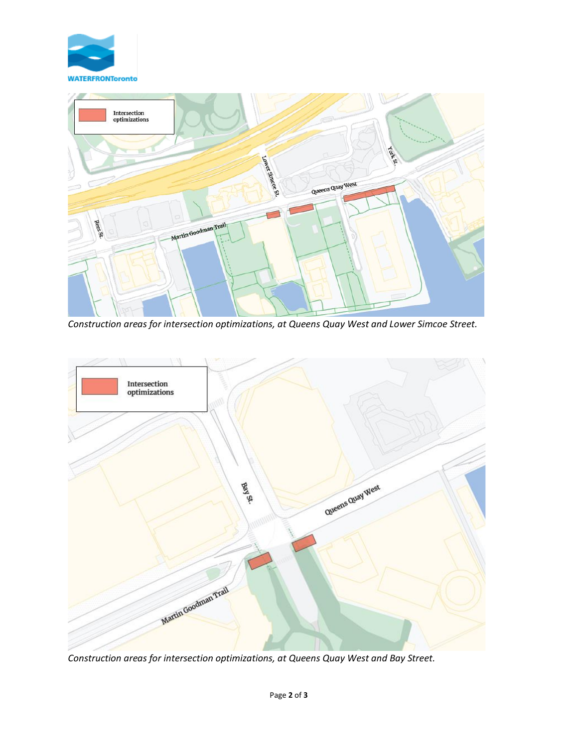



*Construction areas for intersection optimizations, at Queens Quay West and Lower Simcoe Street.*



*Construction areas for intersection optimizations, at Queens Quay West and Bay Street.*